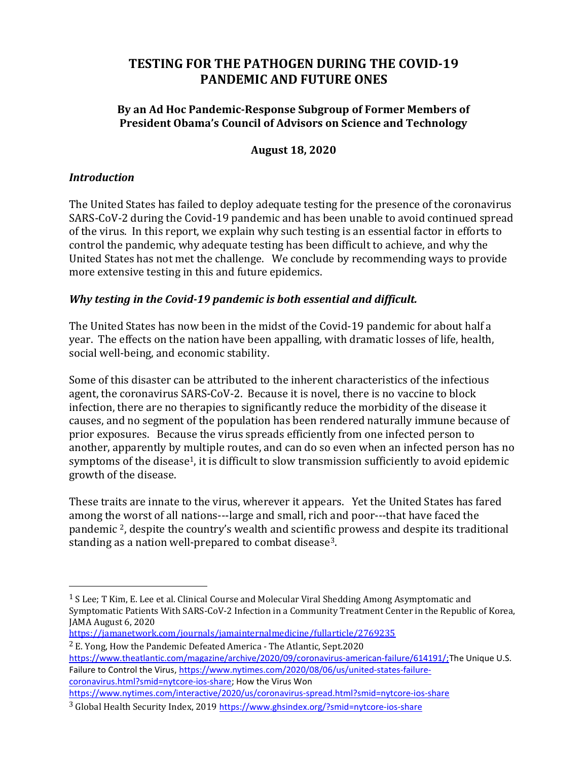# TESTING FOR THE PATHOGEN DURING THE COVID-19 PANDEMIC AND FUTURE ONES

#### By an Ad Hoc Pandemic-Response Subgroup of Former Members of President Obama's Council of Advisors on Science and Technology

#### August 18, 2020

#### Introduction

The United States has failed to deploy adequate testing for the presence of the coronavirus SARS-CoV-2 during the Covid-19 pandemic and has been unable to avoid continued spread of the virus. In this report, we explain why such testing is an essential factor in efforts to control the pandemic, why adequate testing has been difficult to achieve, and why the United States has not met the challenge. We conclude by recommending ways to provide more extensive testing in this and future epidemics.

### Why testing in the Covid-19 pandemic is both essential and difficult.

The United States has now been in the midst of the Covid-19 pandemic for about half a year. The effects on the nation have been appalling, with dramatic losses of life, health, social well-being, and economic stability.

Some of this disaster can be attributed to the inherent characteristics of the infectious agent, the coronavirus SARS-CoV-2. Because it is novel, there is no vaccine to block infection, there are no therapies to significantly reduce the morbidity of the disease it causes, and no segment of the population has been rendered naturally immune because of prior exposures. Because the virus spreads efficiently from one infected person to another, apparently by multiple routes, and can do so even when an infected person has no symptoms of the disease<sup>1</sup>, it is difficult to slow transmission sufficiently to avoid epidemic growth of the disease.

These traits are innate to the virus, wherever it appears. Yet the United States has fared among the worst of all nations---large and small, rich and poor---that have faced the pandemic 2, despite the country's wealth and scientific prowess and despite its traditional standing as a nation well-prepared to combat disease3.

2 E. Yong, How the Pandemic Defeated America - The Atlantic, Sept.2020

https://www.theatlantic.com/magazine/archive/2020/09/coronavirus-american-failure/614191/;The Unique U.S. Failure to Control the Virus, https://www.nytimes.com/2020/08/06/us/united-states-failurecoronavirus.html?smid=nytcore-ios-share; How the Virus Won https://www.nytimes.com/interactive/2020/us/coronavirus-spread.html?smid=nytcore-ios-share

 $1$  S Lee; T Kim, E. Lee et al. Clinical Course and Molecular Viral Shedding Among Asymptomatic and Symptomatic Patients With SARS-CoV-2 Infection in a Community Treatment Center in the Republic of Korea, JAMA August 6, 2020

https://jamanetwork.com/journals/jamainternalmedicine/fullarticle/2769235

<sup>3</sup> Global Health Security Index, 2019 https://www.ghsindex.org/?smid=nytcore-ios-share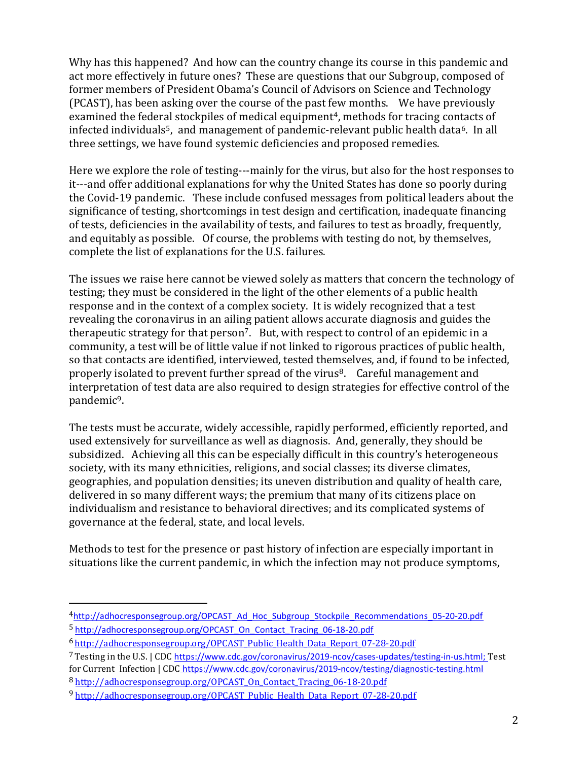Why has this happened? And how can the country change its course in this pandemic and act more effectively in future ones? These are questions that our Subgroup, composed of former members of President Obama's Council of Advisors on Science and Technology (PCAST), has been asking over the course of the past few months. We have previously examined the federal stockpiles of medical equipment<sup>4</sup>, methods for tracing contacts of infected individuals<sup>5</sup>, and management of pandemic-relevant public health data<sup>6</sup>. In all three settings, we have found systemic deficiencies and proposed remedies.

Here we explore the role of testing---mainly for the virus, but also for the host responses to it---and offer additional explanations for why the United States has done so poorly during the Covid-19 pandemic. These include confused messages from political leaders about the significance of testing, shortcomings in test design and certification, inadequate financing of tests, deficiencies in the availability of tests, and failures to test as broadly, frequently, and equitably as possible. Of course, the problems with testing do not, by themselves, complete the list of explanations for the U.S. failures.

The issues we raise here cannot be viewed solely as matters that concern the technology of testing; they must be considered in the light of the other elements of a public health response and in the context of a complex society. It is widely recognized that a test revealing the coronavirus in an ailing patient allows accurate diagnosis and guides the therapeutic strategy for that person<sup>7</sup>. But, with respect to control of an epidemic in a community, a test will be of little value if not linked to rigorous practices of public health, so that contacts are identified, interviewed, tested themselves, and, if found to be infected, properly isolated to prevent further spread of the virus<sup>8</sup>. Careful management and interpretation of test data are also required to design strategies for effective control of the pandemic9.

The tests must be accurate, widely accessible, rapidly performed, efficiently reported, and used extensively for surveillance as well as diagnosis. And, generally, they should be subsidized. Achieving all this can be especially difficult in this country's heterogeneous society, with its many ethnicities, religions, and social classes; its diverse climates, geographies, and population densities; its uneven distribution and quality of health care, delivered in so many different ways; the premium that many of its citizens place on individualism and resistance to behavioral directives; and its complicated systems of governance at the federal, state, and local levels.

Methods to test for the presence or past history of infection are especially important in situations like the current pandemic, in which the infection may not produce symptoms,

- 6 http://adhocresponsegroup.org/OPCAST\_Public\_Health\_Data\_Report\_07-28-20.pdf
- <sup>7</sup>Testing in the U.S. | CDC https://www.cdc.gov/coronavirus/2019-ncov/cases-updates/testing-in-us.html; Test for Current Infection | CDC https://www.cdc.gov/coronavirus/2019-ncov/testing/diagnostic-testing.html

<sup>4</sup>http://adhocresponsegroup.org/OPCAST\_Ad\_Hoc\_Subgroup\_Stockpile\_Recommendations\_05-20-20.pdf 5 http://adhocresponsegroup.org/OPCAST\_On\_Contact\_Tracing\_06-18-20.pdf

<sup>8</sup> http://adhocresponsegroup.org/OPCAST\_On\_Contact\_Tracing\_06-18-20.pdf

<sup>9</sup> http://adhocresponsegroup.org/OPCAST\_Public\_Health\_Data\_Report\_07-28-20.pdf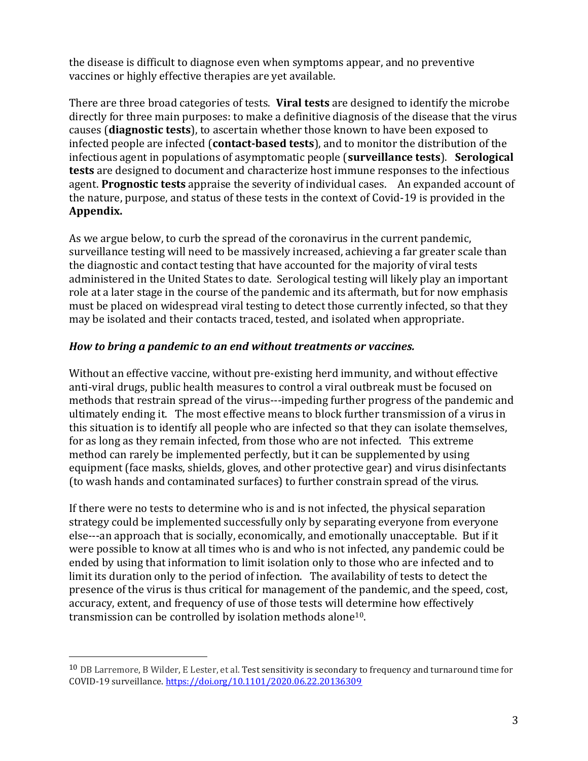the disease is difficult to diagnose even when symptoms appear, and no preventive vaccines or highly effective therapies are yet available.

There are three broad categories of tests. Viral tests are designed to identify the microbe directly for three main purposes: to make a definitive diagnosis of the disease that the virus causes (diagnostic tests), to ascertain whether those known to have been exposed to infected people are infected (contact-based tests), and to monitor the distribution of the infectious agent in populations of asymptomatic people (surveillance tests). Serological tests are designed to document and characterize host immune responses to the infectious agent. Prognostic tests appraise the severity of individual cases. An expanded account of the nature, purpose, and status of these tests in the context of Covid-19 is provided in the Appendix.

As we argue below, to curb the spread of the coronavirus in the current pandemic, surveillance testing will need to be massively increased, achieving a far greater scale than the diagnostic and contact testing that have accounted for the majority of viral tests administered in the United States to date. Serological testing will likely play an important role at a later stage in the course of the pandemic and its aftermath, but for now emphasis must be placed on widespread viral testing to detect those currently infected, so that they may be isolated and their contacts traced, tested, and isolated when appropriate.

### How to bring a pandemic to an end without treatments or vaccines.

Without an effective vaccine, without pre-existing herd immunity, and without effective anti-viral drugs, public health measures to control a viral outbreak must be focused on methods that restrain spread of the virus---impeding further progress of the pandemic and ultimately ending it. The most effective means to block further transmission of a virus in this situation is to identify all people who are infected so that they can isolate themselves, for as long as they remain infected, from those who are not infected. This extreme method can rarely be implemented perfectly, but it can be supplemented by using equipment (face masks, shields, gloves, and other protective gear) and virus disinfectants (to wash hands and contaminated surfaces) to further constrain spread of the virus.

If there were no tests to determine who is and is not infected, the physical separation strategy could be implemented successfully only by separating everyone from everyone else---an approach that is socially, economically, and emotionally unacceptable. But if it were possible to know at all times who is and who is not infected, any pandemic could be ended by using that information to limit isolation only to those who are infected and to limit its duration only to the period of infection. The availability of tests to detect the presence of the virus is thus critical for management of the pandemic, and the speed, cost, accuracy, extent, and frequency of use of those tests will determine how effectively transmission can be controlled by isolation methods alone10.

<sup>10</sup> DB Larremore, B Wilder, E Lester, et al. Test sensitivity is secondary to frequency and turnaround time for COVID-19 surveillance. https://doi.org/10.1101/2020.06.22.20136309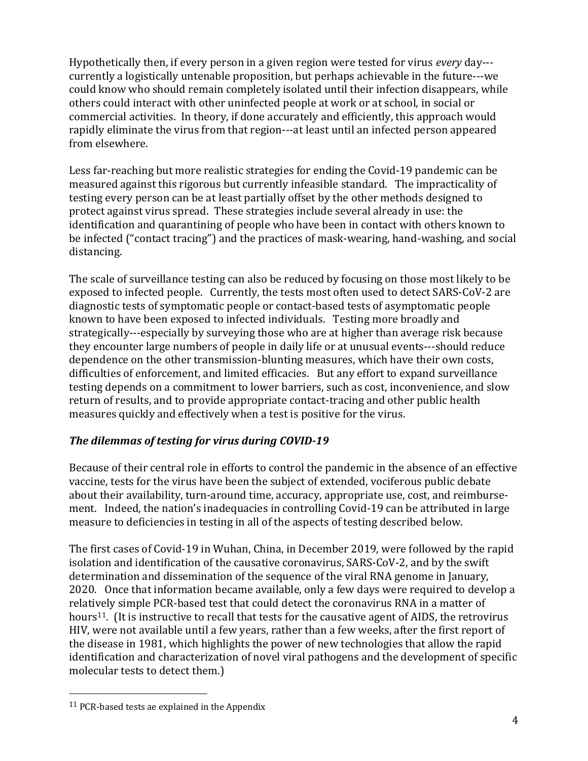Hypothetically then, if every person in a given region were tested for virus every day-- currently a logistically untenable proposition, but perhaps achievable in the future---we could know who should remain completely isolated until their infection disappears, while others could interact with other uninfected people at work or at school, in social or commercial activities. In theory, if done accurately and efficiently, this approach would rapidly eliminate the virus from that region---at least until an infected person appeared from elsewhere.

Less far-reaching but more realistic strategies for ending the Covid-19 pandemic can be measured against this rigorous but currently infeasible standard. The impracticality of testing every person can be at least partially offset by the other methods designed to protect against virus spread. These strategies include several already in use: the identification and quarantining of people who have been in contact with others known to be infected ("contact tracing") and the practices of mask-wearing, hand-washing, and social distancing.

The scale of surveillance testing can also be reduced by focusing on those most likely to be exposed to infected people. Currently, the tests most often used to detect SARS-CoV-2 are diagnostic tests of symptomatic people or contact-based tests of asymptomatic people known to have been exposed to infected individuals. Testing more broadly and strategically---especially by surveying those who are at higher than average risk because they encounter large numbers of people in daily life or at unusual events---should reduce dependence on the other transmission-blunting measures, which have their own costs, difficulties of enforcement, and limited efficacies. But any effort to expand surveillance testing depends on a commitment to lower barriers, such as cost, inconvenience, and slow return of results, and to provide appropriate contact-tracing and other public health measures quickly and effectively when a test is positive for the virus.

### The dilemmas of testing for virus during COVID-19

Because of their central role in efforts to control the pandemic in the absence of an effective vaccine, tests for the virus have been the subject of extended, vociferous public debate about their availability, turn-around time, accuracy, appropriate use, cost, and reimbursement. Indeed, the nation's inadequacies in controlling Covid-19 can be attributed in large measure to deficiencies in testing in all of the aspects of testing described below.

The first cases of Covid-19 in Wuhan, China, in December 2019, were followed by the rapid isolation and identification of the causative coronavirus, SARS-CoV-2, and by the swift determination and dissemination of the sequence of the viral RNA genome in January, 2020. Once that information became available, only a few days were required to develop a relatively simple PCR-based test that could detect the coronavirus RNA in a matter of hours<sup>11</sup>. (It is instructive to recall that tests for the causative agent of AIDS, the retrovirus HIV, were not available until a few years, rather than a few weeks, after the first report of the disease in 1981, which highlights the power of new technologies that allow the rapid identification and characterization of novel viral pathogens and the development of specific molecular tests to detect them.)

<sup>11</sup> PCR-based tests ae explained in the Appendix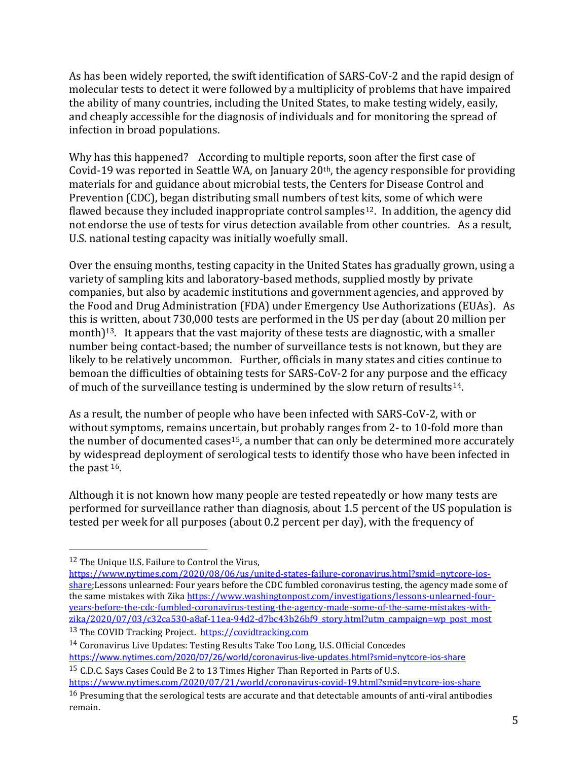As has been widely reported, the swift identification of SARS-CoV-2 and the rapid design of molecular tests to detect it were followed by a multiplicity of problems that have impaired the ability of many countries, including the United States, to make testing widely, easily, and cheaply accessible for the diagnosis of individuals and for monitoring the spread of infection in broad populations.

Why has this happened? According to multiple reports, soon after the first case of Covid-19 was reported in Seattle WA, on January 20th, the agency responsible for providing materials for and guidance about microbial tests, the Centers for Disease Control and Prevention (CDC), began distributing small numbers of test kits, some of which were flawed because they included inappropriate control samples<sup>12</sup>. In addition, the agency did not endorse the use of tests for virus detection available from other countries. As a result, U.S. national testing capacity was initially woefully small.

Over the ensuing months, testing capacity in the United States has gradually grown, using a variety of sampling kits and laboratory-based methods, supplied mostly by private companies, but also by academic institutions and government agencies, and approved by the Food and Drug Administration (FDA) under Emergency Use Authorizations (EUAs). As this is written, about 730,000 tests are performed in the US per day (about 20 million per month)<sup>13</sup>. It appears that the vast majority of these tests are diagnostic, with a smaller number being contact-based; the number of surveillance tests is not known, but they are likely to be relatively uncommon. Further, officials in many states and cities continue to bemoan the difficulties of obtaining tests for SARS-CoV-2 for any purpose and the efficacy of much of the surveillance testing is undermined by the slow return of results<sup>14</sup>.

As a result, the number of people who have been infected with SARS-CoV-2, with or without symptoms, remains uncertain, but probably ranges from 2- to 10-fold more than the number of documented cases<sup>15</sup>, a number that can only be determined more accurately by widespread deployment of serological tests to identify those who have been infected in the past 16.

Although it is not known how many people are tested repeatedly or how many tests are performed for surveillance rather than diagnosis, about 1.5 percent of the US population is tested per week for all purposes (about 0.2 percent per day), with the frequency of

14 Coronavirus Live Updates: Testing Results Take Too Long, U.S. Official Concedes https://www.nytimes.com/2020/07/26/world/coronavirus-live-updates.html?smid=nytcore-ios-share

15 C.D.C. Says Cases Could Be 2 to 13 Times Higher Than Reported in Parts of U.S. https://www.nytimes.com/2020/07/21/world/coronavirus-covid-19.html?smid=nytcore-ios-share

<sup>12</sup> The Unique U.S. Failure to Control the Virus,

https://www.nytimes.com/2020/08/06/us/united-states-failure-coronavirus.html?smid=nytcore-iosshare;Lessons unlearned: Four years before the CDC fumbled coronavirus testing, the agency made some of the same mistakes with Zika https://www.washingtonpost.com/investigations/lessons-unlearned-fouryears-before-the-cdc-fumbled-coronavirus-testing-the-agency-made-some-of-the-same-mistakes-with $z$ ika/2020/07/03/c32ca530-a8af-11ea-94d2-d7bc43b26bf9\_story.html?utm\_campaign=wp\_post\_most 13 The COVID Tracking Project. https://covidtracking.com

<sup>&</sup>lt;sup>16</sup> Presuming that the serological tests are accurate and that detectable amounts of anti-viral antibodies remain.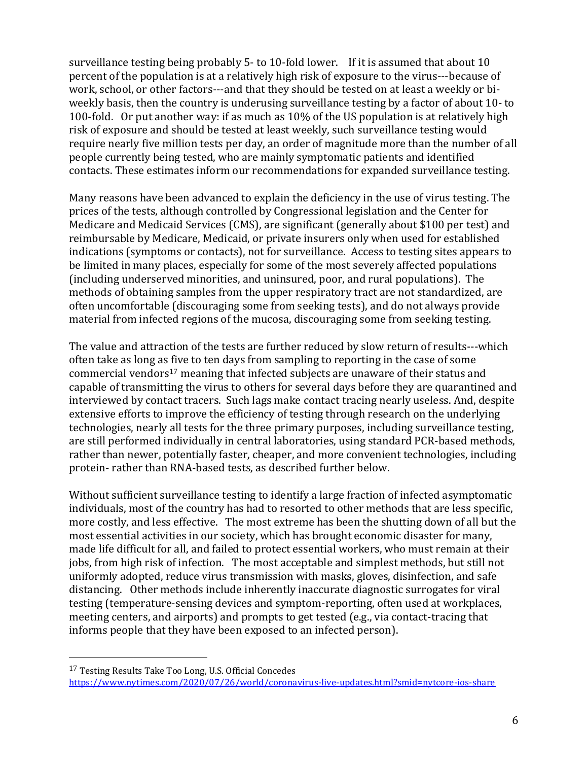surveillance testing being probably 5- to 10-fold lower. If it is assumed that about 10 percent of the population is at a relatively high risk of exposure to the virus---because of work, school, or other factors---and that they should be tested on at least a weekly or biweekly basis, then the country is underusing surveillance testing by a factor of about 10- to 100-fold. Or put another way: if as much as 10% of the US population is at relatively high risk of exposure and should be tested at least weekly, such surveillance testing would require nearly five million tests per day, an order of magnitude more than the number of all people currently being tested, who are mainly symptomatic patients and identified contacts. These estimates inform our recommendations for expanded surveillance testing.

Many reasons have been advanced to explain the deficiency in the use of virus testing. The prices of the tests, although controlled by Congressional legislation and the Center for Medicare and Medicaid Services (CMS), are significant (generally about \$100 per test) and reimbursable by Medicare, Medicaid, or private insurers only when used for established indications (symptoms or contacts), not for surveillance. Access to testing sites appears to be limited in many places, especially for some of the most severely affected populations (including underserved minorities, and uninsured, poor, and rural populations). The methods of obtaining samples from the upper respiratory tract are not standardized, are often uncomfortable (discouraging some from seeking tests), and do not always provide material from infected regions of the mucosa, discouraging some from seeking testing.

The value and attraction of the tests are further reduced by slow return of results---which often take as long as five to ten days from sampling to reporting in the case of some commercial vendors<sup>17</sup> meaning that infected subjects are unaware of their status and capable of transmitting the virus to others for several days before they are quarantined and interviewed by contact tracers. Such lags make contact tracing nearly useless. And, despite extensive efforts to improve the efficiency of testing through research on the underlying technologies, nearly all tests for the three primary purposes, including surveillance testing, are still performed individually in central laboratories, using standard PCR-based methods, rather than newer, potentially faster, cheaper, and more convenient technologies, including protein- rather than RNA-based tests, as described further below.

Without sufficient surveillance testing to identify a large fraction of infected asymptomatic individuals, most of the country has had to resorted to other methods that are less specific, more costly, and less effective. The most extreme has been the shutting down of all but the most essential activities in our society, which has brought economic disaster for many, made life difficult for all, and failed to protect essential workers, who must remain at their jobs, from high risk of infection. The most acceptable and simplest methods, but still not uniformly adopted, reduce virus transmission with masks, gloves, disinfection, and safe distancing. Other methods include inherently inaccurate diagnostic surrogates for viral testing (temperature-sensing devices and symptom-reporting, often used at workplaces, meeting centers, and airports) and prompts to get tested (e.g., via contact-tracing that informs people that they have been exposed to an infected person).

<sup>17</sup> Testing Results Take Too Long, U.S. Official Concedes https://www.nytimes.com/2020/07/26/world/coronavirus-live-updates.html?smid=nytcore-ios-share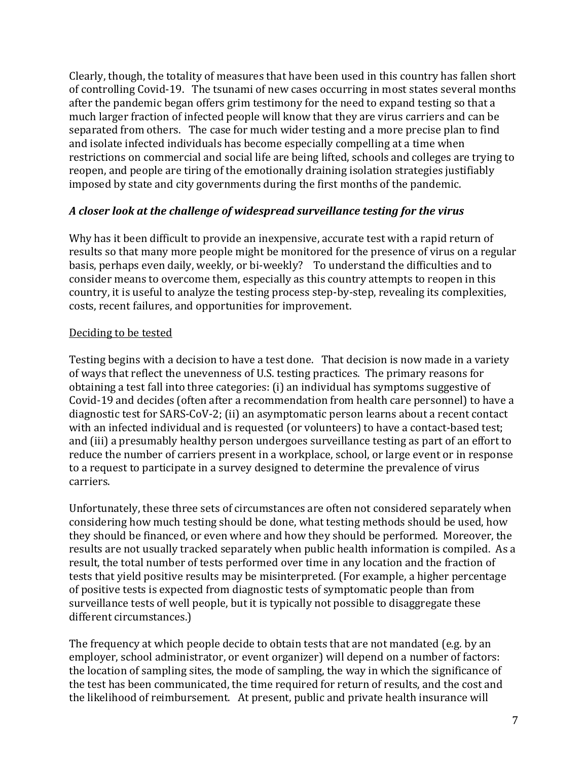Clearly, though, the totality of measures that have been used in this country has fallen short of controlling Covid-19. The tsunami of new cases occurring in most states several months after the pandemic began offers grim testimony for the need to expand testing so that a much larger fraction of infected people will know that they are virus carriers and can be separated from others. The case for much wider testing and a more precise plan to find and isolate infected individuals has become especially compelling at a time when restrictions on commercial and social life are being lifted, schools and colleges are trying to reopen, and people are tiring of the emotionally draining isolation strategies justifiably imposed by state and city governments during the first months of the pandemic.

### A closer look at the challenge of widespread surveillance testing for the virus

Why has it been difficult to provide an inexpensive, accurate test with a rapid return of results so that many more people might be monitored for the presence of virus on a regular basis, perhaps even daily, weekly, or bi-weekly? To understand the difficulties and to consider means to overcome them, especially as this country attempts to reopen in this country, it is useful to analyze the testing process step-by-step, revealing its complexities, costs, recent failures, and opportunities for improvement.

#### Deciding to be tested

Testing begins with a decision to have a test done. That decision is now made in a variety of ways that reflect the unevenness of U.S. testing practices. The primary reasons for obtaining a test fall into three categories: (i) an individual has symptoms suggestive of Covid-19 and decides (often after a recommendation from health care personnel) to have a diagnostic test for SARS-CoV-2; (ii) an asymptomatic person learns about a recent contact with an infected individual and is requested (or volunteers) to have a contact-based test; and (iii) a presumably healthy person undergoes surveillance testing as part of an effort to reduce the number of carriers present in a workplace, school, or large event or in response to a request to participate in a survey designed to determine the prevalence of virus carriers.

Unfortunately, these three sets of circumstances are often not considered separately when considering how much testing should be done, what testing methods should be used, how they should be financed, or even where and how they should be performed. Moreover, the results are not usually tracked separately when public health information is compiled. As a result, the total number of tests performed over time in any location and the fraction of tests that yield positive results may be misinterpreted. (For example, a higher percentage of positive tests is expected from diagnostic tests of symptomatic people than from surveillance tests of well people, but it is typically not possible to disaggregate these different circumstances.)

The frequency at which people decide to obtain tests that are not mandated (e.g. by an employer, school administrator, or event organizer) will depend on a number of factors: the location of sampling sites, the mode of sampling, the way in which the significance of the test has been communicated, the time required for return of results, and the cost and the likelihood of reimbursement. At present, public and private health insurance will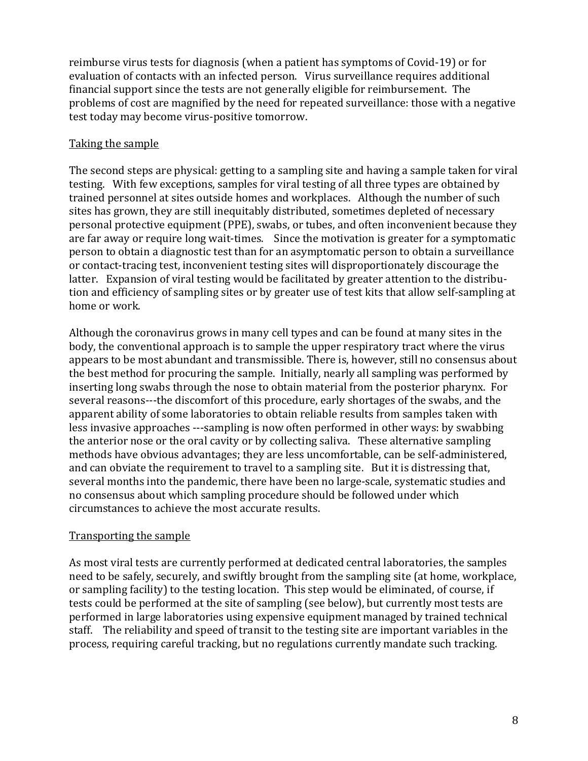reimburse virus tests for diagnosis (when a patient has symptoms of Covid-19) or for evaluation of contacts with an infected person. Virus surveillance requires additional financial support since the tests are not generally eligible for reimbursement. The problems of cost are magnified by the need for repeated surveillance: those with a negative test today may become virus-positive tomorrow.

### Taking the sample

The second steps are physical: getting to a sampling site and having a sample taken for viral testing. With few exceptions, samples for viral testing of all three types are obtained by trained personnel at sites outside homes and workplaces. Although the number of such sites has grown, they are still inequitably distributed, sometimes depleted of necessary personal protective equipment (PPE), swabs, or tubes, and often inconvenient because they are far away or require long wait-times. Since the motivation is greater for a symptomatic person to obtain a diagnostic test than for an asymptomatic person to obtain a surveillance or contact-tracing test, inconvenient testing sites will disproportionately discourage the latter. Expansion of viral testing would be facilitated by greater attention to the distribution and efficiency of sampling sites or by greater use of test kits that allow self-sampling at home or work.

Although the coronavirus grows in many cell types and can be found at many sites in the body, the conventional approach is to sample the upper respiratory tract where the virus appears to be most abundant and transmissible. There is, however, still no consensus about the best method for procuring the sample. Initially, nearly all sampling was performed by inserting long swabs through the nose to obtain material from the posterior pharynx. For several reasons---the discomfort of this procedure, early shortages of the swabs, and the apparent ability of some laboratories to obtain reliable results from samples taken with less invasive approaches ---sampling is now often performed in other ways: by swabbing the anterior nose or the oral cavity or by collecting saliva. These alternative sampling methods have obvious advantages; they are less uncomfortable, can be self-administered, and can obviate the requirement to travel to a sampling site. But it is distressing that, several months into the pandemic, there have been no large-scale, systematic studies and no consensus about which sampling procedure should be followed under which circumstances to achieve the most accurate results.

### Transporting the sample

As most viral tests are currently performed at dedicated central laboratories, the samples need to be safely, securely, and swiftly brought from the sampling site (at home, workplace, or sampling facility) to the testing location. This step would be eliminated, of course, if tests could be performed at the site of sampling (see below), but currently most tests are performed in large laboratories using expensive equipment managed by trained technical staff. The reliability and speed of transit to the testing site are important variables in the process, requiring careful tracking, but no regulations currently mandate such tracking.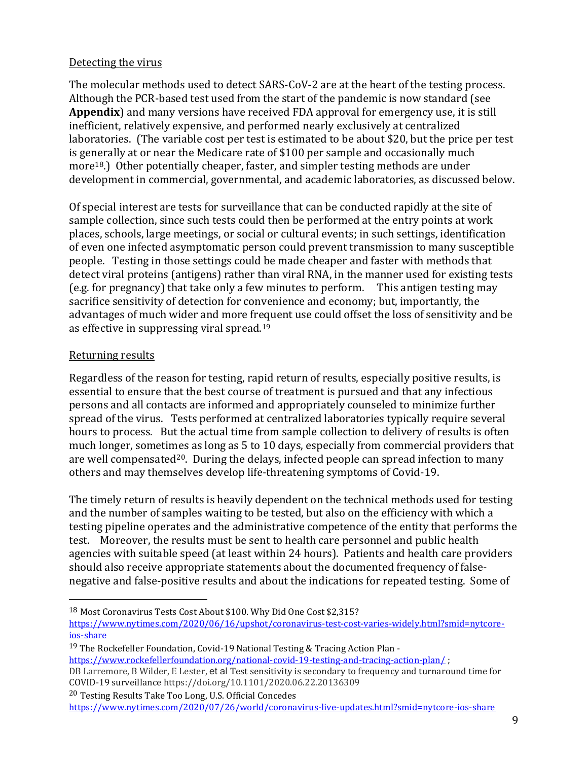#### Detecting the virus

The molecular methods used to detect SARS-CoV-2 are at the heart of the testing process. Although the PCR-based test used from the start of the pandemic is now standard (see Appendix) and many versions have received FDA approval for emergency use, it is still inefficient, relatively expensive, and performed nearly exclusively at centralized laboratories. (The variable cost per test is estimated to be about \$20, but the price per test is generally at or near the Medicare rate of \$100 per sample and occasionally much more18.) Other potentially cheaper, faster, and simpler testing methods are under development in commercial, governmental, and academic laboratories, as discussed below.

Of special interest are tests for surveillance that can be conducted rapidly at the site of sample collection, since such tests could then be performed at the entry points at work places, schools, large meetings, or social or cultural events; in such settings, identification of even one infected asymptomatic person could prevent transmission to many susceptible people. Testing in those settings could be made cheaper and faster with methods that detect viral proteins (antigens) rather than viral RNA, in the manner used for existing tests (e.g. for pregnancy) that take only a few minutes to perform. This antigen testing may sacrifice sensitivity of detection for convenience and economy; but, importantly, the advantages of much wider and more frequent use could offset the loss of sensitivity and be as effective in suppressing viral spread.<sup>19</sup>

### Returning results

Regardless of the reason for testing, rapid return of results, especially positive results, is essential to ensure that the best course of treatment is pursued and that any infectious persons and all contacts are informed and appropriately counseled to minimize further spread of the virus. Tests performed at centralized laboratories typically require several hours to process. But the actual time from sample collection to delivery of results is often much longer, sometimes as long as 5 to 10 days, especially from commercial providers that are well compensated<sup>20</sup>. During the delays, infected people can spread infection to many others and may themselves develop life-threatening symptoms of Covid-19.

The timely return of results is heavily dependent on the technical methods used for testing and the number of samples waiting to be tested, but also on the efficiency with which a testing pipeline operates and the administrative competence of the entity that performs the test. Moreover, the results must be sent to health care personnel and public health agencies with suitable speed (at least within 24 hours). Patients and health care providers should also receive appropriate statements about the documented frequency of falsenegative and false-positive results and about the indications for repeated testing. Some of

18 Most Coronavirus Tests Cost About \$100. Why Did One Cost \$2,315?

19 The Rockefeller Foundation, Covid-19 National Testing & Tracing Action Plan https://www.rockefellerfoundation.org/national-covid-19-testing-and-tracing-action-plan/ ; DB Larremore, B Wilder, E Lester, et al Test sensitivity is secondary to frequency and turnaround time for

COVID-19 surveillance https://doi.org/10.1101/2020.06.22.20136309

https://www.nytimes.com/2020/06/16/upshot/coronavirus-test-cost-varies-widely.html?smid=nytcoreios-share

<sup>20</sup> Testing Results Take Too Long, U.S. Official Concedes https://www.nytimes.com/2020/07/26/world/coronavirus-live-updates.html?smid=nytcore-ios-share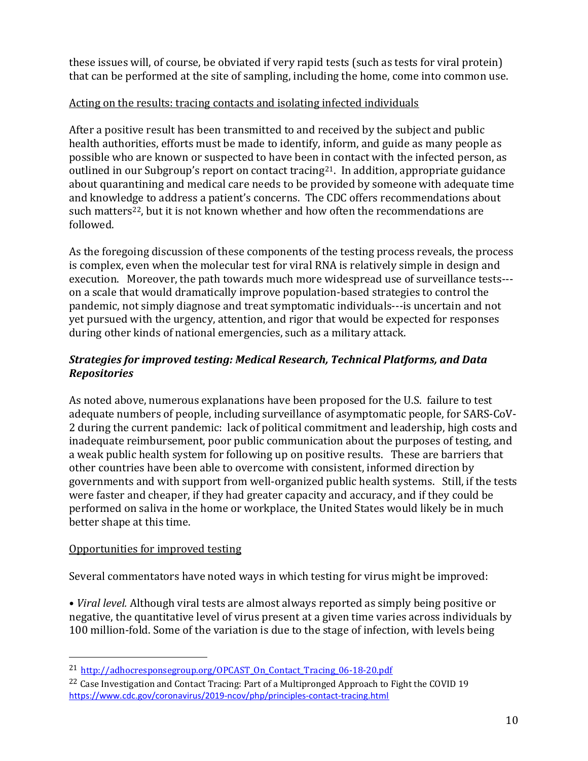these issues will, of course, be obviated if very rapid tests (such as tests for viral protein) that can be performed at the site of sampling, including the home, come into common use.

### Acting on the results: tracing contacts and isolating infected individuals

After a positive result has been transmitted to and received by the subject and public health authorities, efforts must be made to identify, inform, and guide as many people as possible who are known or suspected to have been in contact with the infected person, as outlined in our Subgroup's report on contact tracing21. In addition, appropriate guidance about quarantining and medical care needs to be provided by someone with adequate time and knowledge to address a patient's concerns. The CDC offers recommendations about such matters<sup>22</sup>, but it is not known whether and how often the recommendations are followed.

As the foregoing discussion of these components of the testing process reveals, the process is complex, even when the molecular test for viral RNA is relatively simple in design and execution. Moreover, the path towards much more widespread use of surveillance tests-- on a scale that would dramatically improve population-based strategies to control the pandemic, not simply diagnose and treat symptomatic individuals---is uncertain and not yet pursued with the urgency, attention, and rigor that would be expected for responses during other kinds of national emergencies, such as a military attack.

### Strategies for improved testing: Medical Research, Technical Platforms, and Data Repositories

As noted above, numerous explanations have been proposed for the U.S. failure to test adequate numbers of people, including surveillance of asymptomatic people, for SARS-CoV-2 during the current pandemic: lack of political commitment and leadership, high costs and inadequate reimbursement, poor public communication about the purposes of testing, and a weak public health system for following up on positive results. These are barriers that other countries have been able to overcome with consistent, informed direction by governments and with support from well-organized public health systems. Still, if the tests were faster and cheaper, if they had greater capacity and accuracy, and if they could be performed on saliva in the home or workplace, the United States would likely be in much better shape at this time.

#### Opportunities for improved testing

Several commentators have noted ways in which testing for virus might be improved:

• Viral level. Although viral tests are almost always reported as simply being positive or negative, the quantitative level of virus present at a given time varies across individuals by 100 million-fold. Some of the variation is due to the stage of infection, with levels being

<sup>&</sup>lt;sup>21</sup> http://adhocresponsegroup.org/OPCAST\_On\_Contact\_Tracing\_06-18-20.pdf

<sup>&</sup>lt;sup>22</sup> Case Investigation and Contact Tracing: Part of a Multipronged Approach to Fight the COVID 19 https://www.cdc.gov/coronavirus/2019-ncov/php/principles-contact-tracing.html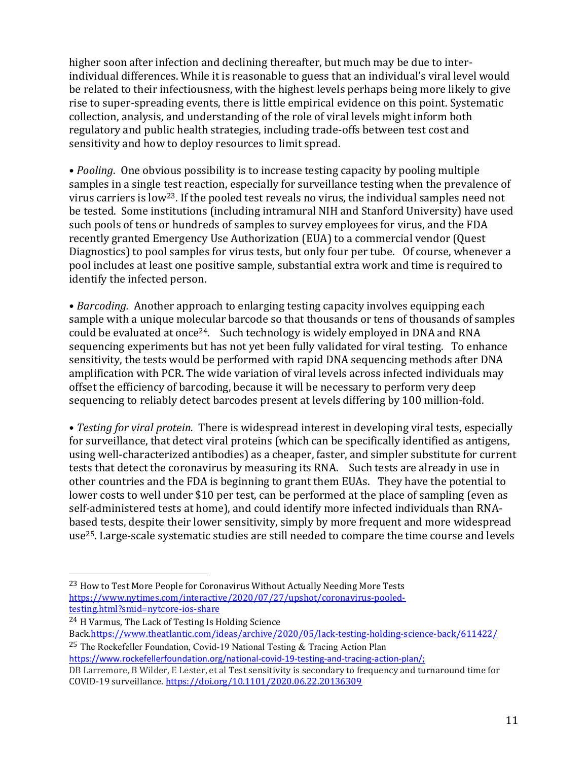higher soon after infection and declining thereafter, but much may be due to interindividual differences. While it is reasonable to guess that an individual's viral level would be related to their infectiousness, with the highest levels perhaps being more likely to give rise to super-spreading events, there is little empirical evidence on this point. Systematic collection, analysis, and understanding of the role of viral levels might inform both regulatory and public health strategies, including trade-offs between test cost and sensitivity and how to deploy resources to limit spread.

• *Pooling*. One obvious possibility is to increase testing capacity by pooling multiple samples in a single test reaction, especially for surveillance testing when the prevalence of virus carriers is low23. If the pooled test reveals no virus, the individual samples need not be tested. Some institutions (including intramural NIH and Stanford University) have used such pools of tens or hundreds of samples to survey employees for virus, and the FDA recently granted Emergency Use Authorization (EUA) to a commercial vendor (Quest Diagnostics) to pool samples for virus tests, but only four per tube. Of course, whenever a pool includes at least one positive sample, substantial extra work and time is required to identify the infected person.

• Barcoding. Another approach to enlarging testing capacity involves equipping each sample with a unique molecular barcode so that thousands or tens of thousands of samples could be evaluated at once24. Such technology is widely employed in DNA and RNA sequencing experiments but has not yet been fully validated for viral testing. To enhance sensitivity, the tests would be performed with rapid DNA sequencing methods after DNA amplification with PCR. The wide variation of viral levels across infected individuals may offset the efficiency of barcoding, because it will be necessary to perform very deep sequencing to reliably detect barcodes present at levels differing by 100 million-fold.

• Testing for viral protein. There is widespread interest in developing viral tests, especially for surveillance, that detect viral proteins (which can be specifically identified as antigens, using well-characterized antibodies) as a cheaper, faster, and simpler substitute for current tests that detect the coronavirus by measuring its RNA. Such tests are already in use in other countries and the FDA is beginning to grant them EUAs. They have the potential to lower costs to well under \$10 per test, can be performed at the place of sampling (even as self-administered tests at home), and could identify more infected individuals than RNAbased tests, despite their lower sensitivity, simply by more frequent and more widespread use25. Large-scale systematic studies are still needed to compare the time course and levels

25 The Rockefeller Foundation, Covid-19 National Testing & Tracing Action Plan https://www.rockefellerfoundation.org/national-covid-19-testing-and-tracing-action-plan/;

<sup>&</sup>lt;sup>23</sup> How to Test More People for Coronavirus Without Actually Needing More Tests https://www.nytimes.com/interactive/2020/07/27/upshot/coronavirus-pooledtesting.html?smid=nytcore-ios-share

<sup>24</sup> H Varmus, The Lack of Testing Is Holding Science

Back.https://www.theatlantic.com/ideas/archive/2020/05/lack-testing-holding-science-back/611422/

DB Larremore, B Wilder, E Lester, et al Test sensitivity is secondary to frequency and turnaround time for COVID-19 surveillance. https://doi.org/10.1101/2020.06.22.20136309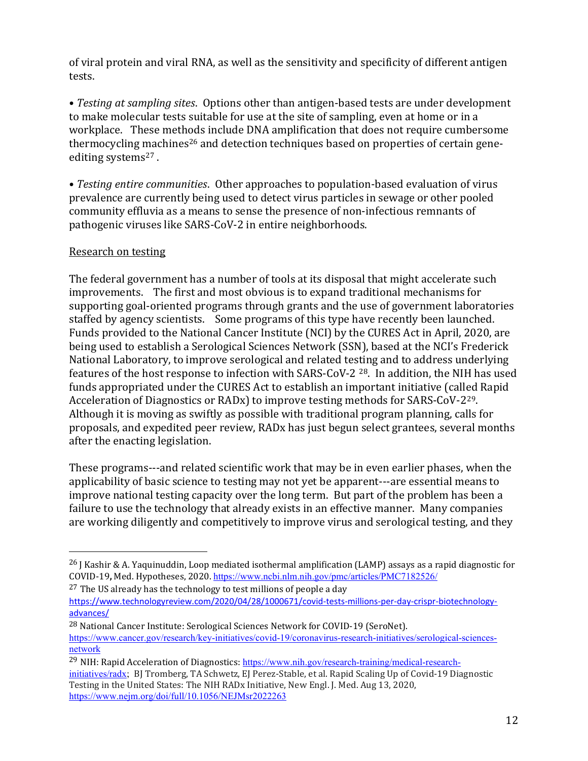of viral protein and viral RNA, as well as the sensitivity and specificity of different antigen tests.

• Testing at sampling sites. Options other than antigen-based tests are under development to make molecular tests suitable for use at the site of sampling, even at home or in a workplace. These methods include DNA amplification that does not require cumbersome thermocycling machines<sup>26</sup> and detection techniques based on properties of certain geneediting systems<sup>27</sup>.

• Testing entire communities. Other approaches to population-based evaluation of virus prevalence are currently being used to detect virus particles in sewage or other pooled community effluvia as a means to sense the presence of non-infectious remnants of pathogenic viruses like SARS-CoV-2 in entire neighborhoods.

### Research on testing

The federal government has a number of tools at its disposal that might accelerate such improvements. The first and most obvious is to expand traditional mechanisms for supporting goal-oriented programs through grants and the use of government laboratories staffed by agency scientists. Some programs of this type have recently been launched. Funds provided to the National Cancer Institute (NCI) by the CURES Act in April, 2020, are being used to establish a Serological Sciences Network (SSN), based at the NCI's Frederick National Laboratory, to improve serological and related testing and to address underlying features of the host response to infection with SARS-CoV-2 28. In addition, the NIH has used funds appropriated under the CURES Act to establish an important initiative (called Rapid Acceleration of Diagnostics or RADx) to improve testing methods for SARS-CoV-229. Although it is moving as swiftly as possible with traditional program planning, calls for proposals, and expedited peer review, RADx has just begun select grantees, several months after the enacting legislation.

These programs---and related scientific work that may be in even earlier phases, when the applicability of basic science to testing may not yet be apparent---are essential means to improve national testing capacity over the long term. But part of the problem has been a failure to use the technology that already exists in an effective manner. Many companies are working diligently and competitively to improve virus and serological testing, and they

<sup>&</sup>lt;sup>26</sup> J Kashir & A. Yaquinuddin, Loop mediated isothermal amplification (LAMP) assays as a rapid diagnostic for COVID-19, Med. Hypotheses, 2020. https://www.ncbi.nlm.nih.gov/pmc/articles/PMC7182526/

 $27$  The US already has the technology to test millions of people a day

https://www.technologyreview.com/2020/04/28/1000671/covid-tests-millions-per-day-crispr-biotechnologyadvances/

<sup>28</sup> National Cancer Institute: Serological Sciences Network for COVID-19 (SeroNet). https://www.cancer.gov/research/key-initiatives/covid-19/coronavirus-research-initiatives/serological-sciencesnetwork

<sup>29</sup> NIH: Rapid Acceleration of Diagnostics: https://www.nih.gov/research-training/medical-researchinitiatives/radx; BJ Tromberg, TA Schwetz, EJ Perez-Stable, et al. Rapid Scaling Up of Covid-19 Diagnostic Testing in the United States: The NIH RADx Initiative, New Engl. J. Med. Aug 13, 2020, https://www.nejm.org/doi/full/10.1056/NEJMsr2022263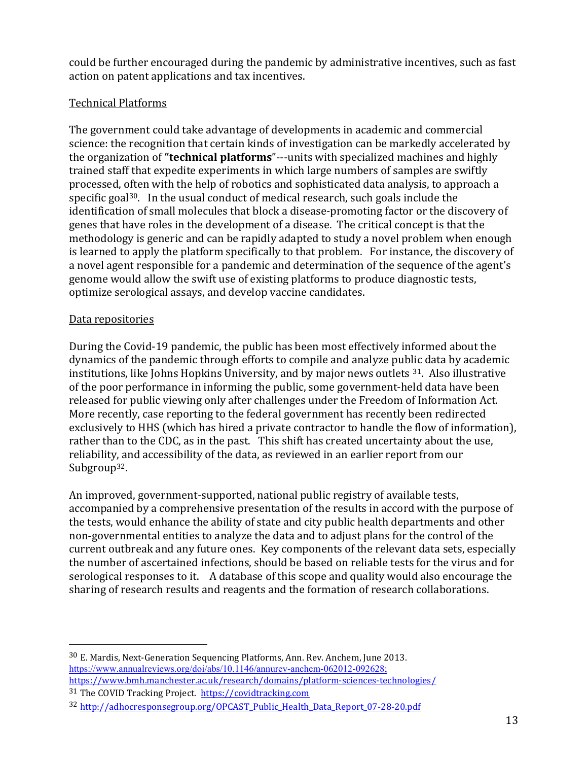could be further encouraged during the pandemic by administrative incentives, such as fast action on patent applications and tax incentives.

### Technical Platforms

The government could take advantage of developments in academic and commercial science: the recognition that certain kinds of investigation can be markedly accelerated by the organization of "technical platforms"---units with specialized machines and highly trained staff that expedite experiments in which large numbers of samples are swiftly processed, often with the help of robotics and sophisticated data analysis, to approach a specific goal<sup>30</sup>. In the usual conduct of medical research, such goals include the identification of small molecules that block a disease-promoting factor or the discovery of genes that have roles in the development of a disease. The critical concept is that the methodology is generic and can be rapidly adapted to study a novel problem when enough is learned to apply the platform specifically to that problem. For instance, the discovery of a novel agent responsible for a pandemic and determination of the sequence of the agent's genome would allow the swift use of existing platforms to produce diagnostic tests, optimize serological assays, and develop vaccine candidates.

### Data repositories

During the Covid-19 pandemic, the public has been most effectively informed about the dynamics of the pandemic through efforts to compile and analyze public data by academic institutions, like Johns Hopkins University, and by major news outlets 31. Also illustrative of the poor performance in informing the public, some government-held data have been released for public viewing only after challenges under the Freedom of Information Act. More recently, case reporting to the federal government has recently been redirected exclusively to HHS (which has hired a private contractor to handle the flow of information), rather than to the CDC, as in the past. This shift has created uncertainty about the use, reliability, and accessibility of the data, as reviewed in an earlier report from our Subgroup<sup>32</sup>.

An improved, government-supported, national public registry of available tests, accompanied by a comprehensive presentation of the results in accord with the purpose of the tests, would enhance the ability of state and city public health departments and other non-governmental entities to analyze the data and to adjust plans for the control of the current outbreak and any future ones. Key components of the relevant data sets, especially the number of ascertained infections, should be based on reliable tests for the virus and for serological responses to it. A database of this scope and quality would also encourage the sharing of research results and reagents and the formation of research collaborations.

<sup>30</sup> E. Mardis, Next-Generation Sequencing Platforms, Ann. Rev. Anchem, June 2013. https://www.annualreviews.org/doi/abs/10.1146/annurev-anchem-062012-092628; https://www.bmh.manchester.ac.uk/research/domains/platform-sciences-technologies/

<sup>31</sup> The COVID Tracking Project. https://covidtracking.com

<sup>32</sup> http://adhocresponsegroup.org/OPCAST\_Public\_Health\_Data\_Report\_07-28-20.pdf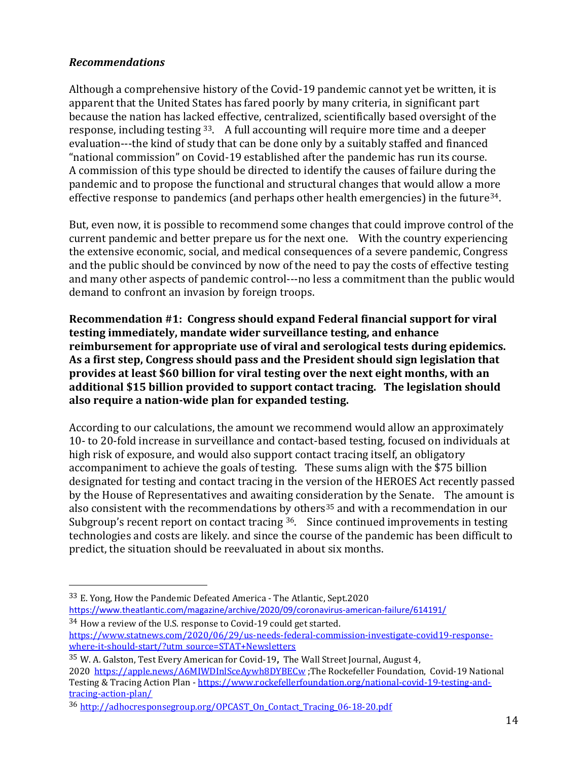### Recommendations

Although a comprehensive history of the Covid-19 pandemic cannot yet be written, it is apparent that the United States has fared poorly by many criteria, in significant part because the nation has lacked effective, centralized, scientifically based oversight of the response, including testing 33. A full accounting will require more time and a deeper evaluation---the kind of study that can be done only by a suitably staffed and financed "national commission" on Covid-19 established after the pandemic has run its course. A commission of this type should be directed to identify the causes of failure during the pandemic and to propose the functional and structural changes that would allow a more effective response to pandemics (and perhaps other health emergencies) in the future34.

But, even now, it is possible to recommend some changes that could improve control of the current pandemic and better prepare us for the next one. With the country experiencing the extensive economic, social, and medical consequences of a severe pandemic, Congress and the public should be convinced by now of the need to pay the costs of effective testing and many other aspects of pandemic control---no less a commitment than the public would demand to confront an invasion by foreign troops.

Recommendation #1: Congress should expand Federal financial support for viral testing immediately, mandate wider surveillance testing, and enhance reimbursement for appropriate use of viral and serological tests during epidemics. As a first step, Congress should pass and the President should sign legislation that provides at least \$60 billion for viral testing over the next eight months, with an additional \$15 billion provided to support contact tracing. The legislation should also require a nation-wide plan for expanded testing.

According to our calculations, the amount we recommend would allow an approximately 10- to 20-fold increase in surveillance and contact-based testing, focused on individuals at high risk of exposure, and would also support contact tracing itself, an obligatory accompaniment to achieve the goals of testing. These sums align with the \$75 billion designated for testing and contact tracing in the version of the HEROES Act recently passed by the House of Representatives and awaiting consideration by the Senate. The amount is also consistent with the recommendations by others<sup>35</sup> and with a recommendation in our Subgroup's recent report on contact tracing <sup>36</sup>. Since continued improvements in testing technologies and costs are likely. and since the course of the pandemic has been difficult to predict, the situation should be reevaluated in about six months.

33 E. Yong, How the Pandemic Defeated America - The Atlantic, Sept.2020 https://www.theatlantic.com/magazine/archive/2020/09/coronavirus-american-failure/614191/

35 W. A. Galston, Test Every American for Covid-19, The Wall Street Journal, August 4, 2020 https://apple.news/A6MIWDInlSceAywh8DYBECw</u>;The Rockefeller Foundation, Covid-19 National Testing & Tracing Action Plan - https://www.rockefellerfoundation.org/national-covid-19-testing-andtracing-action-plan/

<sup>34</sup> How a review of the U.S. response to Covid-19 could get started. https://www.statnews.com/2020/06/29/us-needs-federal-commission-investigate-covid19-responsewhere-it-should-start/?utm\_source=STAT+Newsletters

<sup>36</sup> http://adhocresponsegroup.org/OPCAST\_On\_Contact\_Tracing\_06-18-20.pdf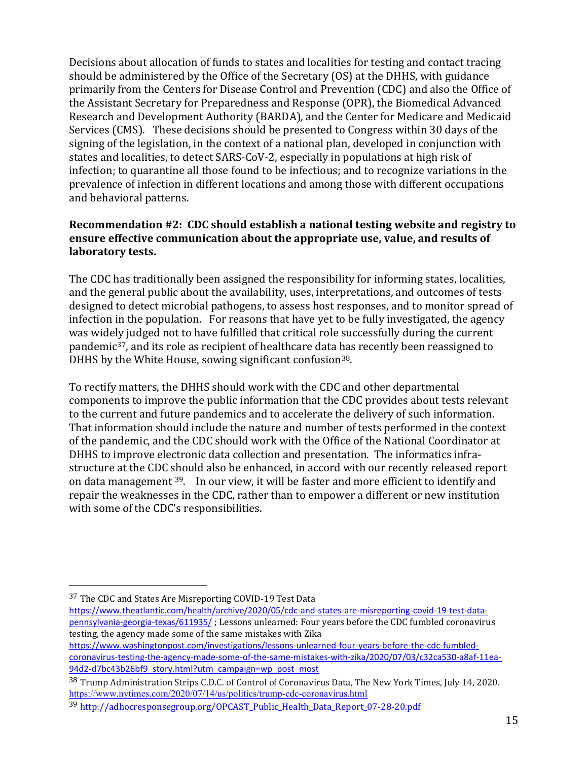Decisions about allocation of funds to states and localities for testing and contact tracing should be administered by the Office of the Secretary (OS) at the DHHS, with guidance primarily from the Centers for Disease Control and Prevention (CDC) and also the Office of the Assistant Secretary for Preparedness and Response (OPR), the Biomedical Advanced Research and Development Authority (BARDA), and the Center for Medicare and Medicaid Services (CMS). These decisions should be presented to Congress within 30 days of the signing of the legislation, in the context of a national plan, developed in conjunction with states and localities, to detect SARS-CoV-2, especially in populations at high risk of infection; to quarantine all those found to be infectious; and to recognize variations in the prevalence of infection in different locations and among those with different occupations and behavioral patterns.

### Recommendation #2: CDC should establish a national testing website and registry to ensure effective communication about the appropriate use, value, and results of laboratory tests.

The CDC has traditionally been assigned the responsibility for informing states, localities, and the general public about the availability, uses, interpretations, and outcomes of tests designed to detect microbial pathogens, to assess host responses, and to monitor spread of infection in the population. For reasons that have yet to be fully investigated, the agency was widely judged not to have fulfilled that critical role successfully during the current pandemic37, and its role as recipient of healthcare data has recently been reassigned to DHHS by the White House, sowing significant confusion<sup>38</sup>.

To rectify matters, the DHHS should work with the CDC and other departmental components to improve the public information that the CDC provides about tests relevant to the current and future pandemics and to accelerate the delivery of such information. That information should include the nature and number of tests performed in the context of the pandemic, and the CDC should work with the Office of the National Coordinator at DHHS to improve electronic data collection and presentation. The informatics infrastructure at the CDC should also be enhanced, in accord with our recently released report on data management 39. In our view, it will be faster and more efficient to identify and repair the weaknesses in the CDC, rather than to empower a different or new institution with some of the CDC's responsibilities.

https://www.washingtonpost.com/investigations/lessons-unlearned-four-years-before-the-cdc-fumbledcoronavirus-testing-the-agency-made-some-of-the-same-mistakes-with-zika/2020/07/03/c32ca530-a8af-11ea-94d2-d7bc43b26bf9\_story.html?utm\_campaign=wp\_post\_most

<sup>37</sup> The CDC and States Are Misreporting COVID-19 Test Data

https://www.theatlantic.com/health/archive/2020/05/cdc-and-states-are-misreporting-covid-19-test-datapennsylvania-georgia-texas/611935/ ; Lessons unlearned: Four years before the CDC fumbled coronavirus testing, the agency made some of the same mistakes with Zika

<sup>38</sup> Trump Administration Strips C.D.C. of Control of Coronavirus Data, The New York Times, July 14, 2020. https://www.nytimes.com/2020/07/14/us/politics/trump-cdc-coronavirus.html

<sup>39</sup> http://adhocresponsegroup.org/OPCAST\_Public\_Health\_Data\_Report\_07-28-20.pdf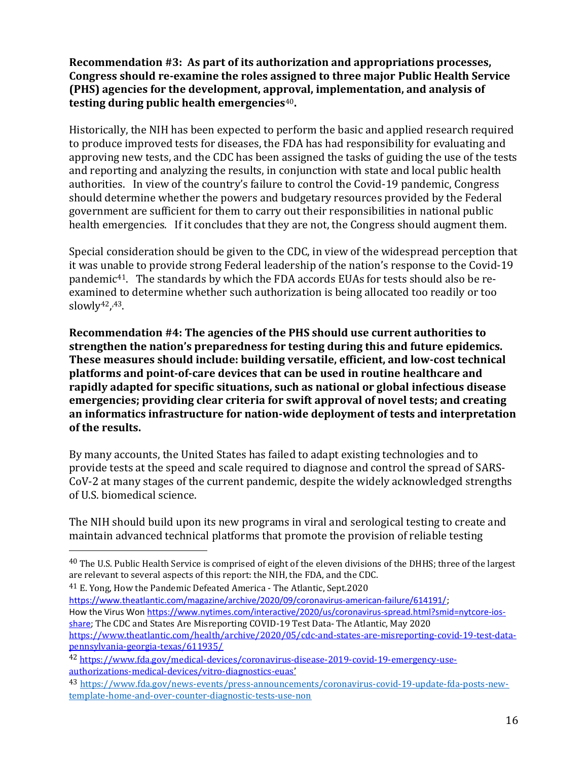Recommendation #3: As part of its authorization and appropriations processes, Congress should re-examine the roles assigned to three major Public Health Service (PHS) agencies for the development, approval, implementation, and analysis of testing during public health emergencies $40$ .

Historically, the NIH has been expected to perform the basic and applied research required to produce improved tests for diseases, the FDA has had responsibility for evaluating and approving new tests, and the CDC has been assigned the tasks of guiding the use of the tests and reporting and analyzing the results, in conjunction with state and local public health authorities. In view of the country's failure to control the Covid-19 pandemic, Congress should determine whether the powers and budgetary resources provided by the Federal government are sufficient for them to carry out their responsibilities in national public health emergencies. If it concludes that they are not, the Congress should augment them.

Special consideration should be given to the CDC, in view of the widespread perception that it was unable to provide strong Federal leadership of the nation's response to the Covid-19 pandemic41. The standards by which the FDA accords EUAs for tests should also be reexamined to determine whether such authorization is being allocated too readily or too slowly42, ,43.

Recommendation #4: The agencies of the PHS should use current authorities to strengthen the nation's preparedness for testing during this and future epidemics. These measures should include: building versatile, efficient, and low-cost technical platforms and point-of-care devices that can be used in routine healthcare and rapidly adapted for specific situations, such as national or global infectious disease emergencies; providing clear criteria for swift approval of novel tests; and creating an informatics infrastructure for nation-wide deployment of tests and interpretation of the results.

By many accounts, the United States has failed to adapt existing technologies and to provide tests at the speed and scale required to diagnose and control the spread of SARS-CoV-2 at many stages of the current pandemic, despite the widely acknowledged strengths of U.S. biomedical science.

The NIH should build upon its new programs in viral and serological testing to create and maintain advanced technical platforms that promote the provision of reliable testing

41 E. Yong, How the Pandemic Defeated America - The Atlantic, Sept.2020 https://www.theatlantic.com/magazine/archive/2020/09/coronavirus-american-failure/614191/; How the Virus Won https://www.nytimes.com/interactive/2020/us/coronavirus-spread.html?smid=nytcore-iosshare; The CDC and States Are Misreporting COVID-19 Test Data- The Atlantic, May 2020 https://www.theatlantic.com/health/archive/2020/05/cdc-and-states-are-misreporting-covid-19-test-datapennsylvania-georgia-texas/611935/

<sup>&</sup>lt;sup>40</sup> The U.S. Public Health Service is comprised of eight of the eleven divisions of the DHHS; three of the largest are relevant to several aspects of this report: the NIH, the FDA, and the CDC.

<sup>42</sup> https://www.fda.gov/medical-devices/coronavirus-disease-2019-covid-19-emergency-useauthorizations-medical-devices/vitro-diagnostics-euas'

<sup>43</sup> https://www.fda.gov/news-events/press-announcements/coronavirus-covid-19-update-fda-posts-newtemplate-home-and-over-counter-diagnostic-tests-use-non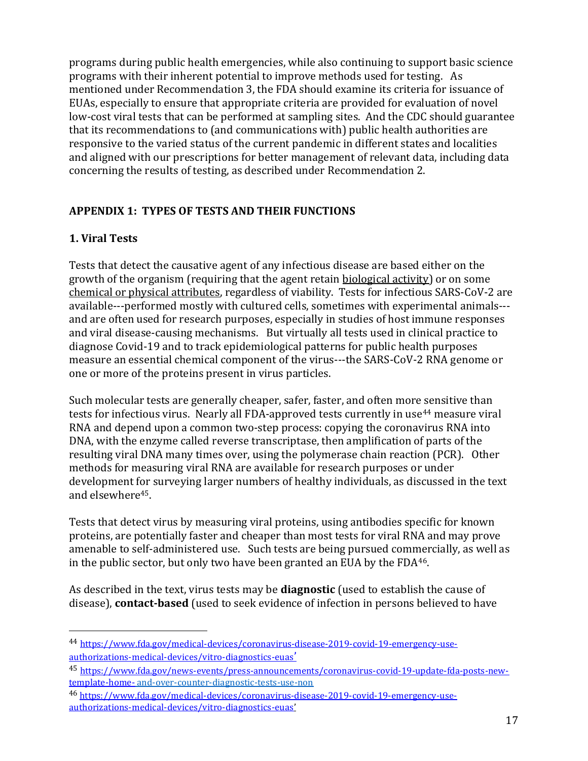programs during public health emergencies, while also continuing to support basic science programs with their inherent potential to improve methods used for testing. As mentioned under Recommendation 3, the FDA should examine its criteria for issuance of EUAs, especially to ensure that appropriate criteria are provided for evaluation of novel low-cost viral tests that can be performed at sampling sites. And the CDC should guarantee that its recommendations to (and communications with) public health authorities are responsive to the varied status of the current pandemic in different states and localities and aligned with our prescriptions for better management of relevant data, including data concerning the results of testing, as described under Recommendation 2.

## APPENDIX 1: TYPES OF TESTS AND THEIR FUNCTIONS

### 1. Viral Tests

Tests that detect the causative agent of any infectious disease are based either on the growth of the organism (requiring that the agent retain biological activity) or on some chemical or physical attributes, regardless of viability. Tests for infectious SARS-CoV-2 are available---performed mostly with cultured cells, sometimes with experimental animals-- and are often used for research purposes, especially in studies of host immune responses and viral disease-causing mechanisms. But virtually all tests used in clinical practice to diagnose Covid-19 and to track epidemiological patterns for public health purposes measure an essential chemical component of the virus---the SARS-CoV-2 RNA genome or one or more of the proteins present in virus particles.

Such molecular tests are generally cheaper, safer, faster, and often more sensitive than tests for infectious virus. Nearly all FDA-approved tests currently in use<sup>44</sup> measure viral RNA and depend upon a common two-step process: copying the coronavirus RNA into DNA, with the enzyme called reverse transcriptase, then amplification of parts of the resulting viral DNA many times over, using the polymerase chain reaction (PCR). Other methods for measuring viral RNA are available for research purposes or under development for surveying larger numbers of healthy individuals, as discussed in the text and elsewhere45.

Tests that detect virus by measuring viral proteins, using antibodies specific for known proteins, are potentially faster and cheaper than most tests for viral RNA and may prove amenable to self-administered use. Such tests are being pursued commercially, as well as in the public sector, but only two have been granted an EUA by the FDA<sup>46</sup>.

As described in the text, virus tests may be **diagnostic** (used to establish the cause of disease), contact-based (used to seek evidence of infection in persons believed to have

<sup>44</sup> https://www.fda.gov/medical-devices/coronavirus-disease-2019-covid-19-emergency-useauthorizations-medical-devices/vitro-diagnostics-euas'

<sup>45</sup> https://www.fda.gov/news-events/press-announcements/coronavirus-covid-19-update-fda-posts-newtemplate-home- and-over-counter-diagnostic-tests-use-non

<sup>46</sup> https://www.fda.gov/medical-devices/coronavirus-disease-2019-covid-19-emergency-useauthorizations-medical-devices/vitro-diagnostics-euas'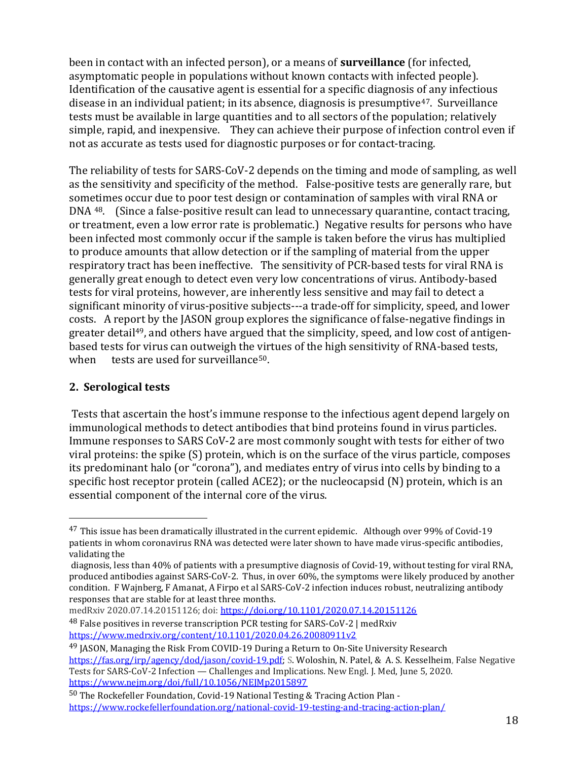been in contact with an infected person), or a means of **surveillance** (for infected, asymptomatic people in populations without known contacts with infected people). Identification of the causative agent is essential for a specific diagnosis of any infectious disease in an individual patient; in its absence, diagnosis is presumptive<sup>47</sup>. Surveillance tests must be available in large quantities and to all sectors of the population; relatively simple, rapid, and inexpensive. They can achieve their purpose of infection control even if not as accurate as tests used for diagnostic purposes or for contact-tracing.

The reliability of tests for SARS-CoV-2 depends on the timing and mode of sampling, as well as the sensitivity and specificity of the method. False-positive tests are generally rare, but sometimes occur due to poor test design or contamination of samples with viral RNA or DNA 48. (Since a false-positive result can lead to unnecessary quarantine, contact tracing, or treatment, even a low error rate is problematic.) Negative results for persons who have been infected most commonly occur if the sample is taken before the virus has multiplied to produce amounts that allow detection or if the sampling of material from the upper respiratory tract has been ineffective. The sensitivity of PCR-based tests for viral RNA is generally great enough to detect even very low concentrations of virus. Antibody-based tests for viral proteins, however, are inherently less sensitive and may fail to detect a significant minority of virus-positive subjects---a trade-off for simplicity, speed, and lower costs. A report by the JASON group explores the significance of false-negative findings in greater detail<sup>49</sup>, and others have argued that the simplicity, speed, and low cost of antigenbased tests for virus can outweigh the virtues of the high sensitivity of RNA-based tests, when tests are used for surveillance<sup>50</sup>.

### 2. Serological tests

Tests that ascertain the host's immune response to the infectious agent depend largely on immunological methods to detect antibodies that bind proteins found in virus particles. Immune responses to SARS CoV-2 are most commonly sought with tests for either of two viral proteins: the spike (S) protein, which is on the surface of the virus particle, composes its predominant halo (or "corona"), and mediates entry of virus into cells by binding to a specific host receptor protein (called ACE2); or the nucleocapsid (N) protein, which is an essential component of the internal core of the virus.

medRxiv 2020.07.14.20151126; doi: https://doi.org/10.1101/2020.07.14.20151126

<sup>47</sup> This issue has been dramatically illustrated in the current epidemic. Although over 99% of Covid-19 patients in whom coronavirus RNA was detected were later shown to have made virus-specific antibodies, validating the

diagnosis, less than 40% of patients with a presumptive diagnosis of Covid-19, without testing for viral RNA, produced antibodies against SARS-CoV-2. Thus, in over 60%, the symptoms were likely produced by another condition. F Wajnberg, F Amanat, A Firpo et al SARS-CoV-2 infection induces robust, neutralizing antibody responses that are stable for at least three months.

<sup>48</sup> False positives in reverse transcription PCR testing for SARS-CoV-2 | medRxiv https://www.medrxiv.org/content/10.1101/2020.04.26.20080911v2

<sup>&</sup>lt;sup>49</sup> JASON, Managing the Risk From COVID-19 During a Return to On-Site University Research https://fas.org/irp/agency/dod/jason/covid-19.pdf; S. Woloshin, N. Patel, & A. S. Kesselheim, False Negative Tests for SARS-CoV-2 Infection — Challenges and Implications. New Engl. J. Med, June 5, 2020. https://www.nejm.org/doi/full/10.1056/NEJMp2015897

<sup>50</sup> The Rockefeller Foundation, Covid-19 National Testing & Tracing Action Plan https://www.rockefellerfoundation.org/national-covid-19-testing-and-tracing-action-plan/